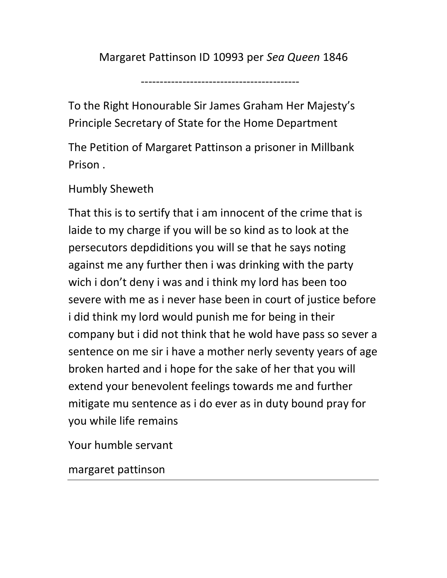Margaret Pattinson ID 10993 per Sea Queen 1846

------------------------------------------

To the Right Honourable Sir James Graham Her Majesty's Principle Secretary of State for the Home Department

The Petition of Margaret Pattinson a prisoner in Millbank Prison .

## Humbly Sheweth

That this is to sertify that i am innocent of the crime that is laide to my charge if you will be so kind as to look at the persecutors depdiditions you will se that he says noting against me any further then i was drinking with the party wich i don't deny i was and i think my lord has been too severe with me as i never hase been in court of justice before i did think my lord would punish me for being in their company but i did not think that he wold have pass so sever a sentence on me sir i have a mother nerly seventy years of age broken harted and i hope for the sake of her that you will extend your benevolent feelings towards me and further mitigate mu sentence as i do ever as in duty bound pray for you while life remains

Your humble servant

margaret pattinson